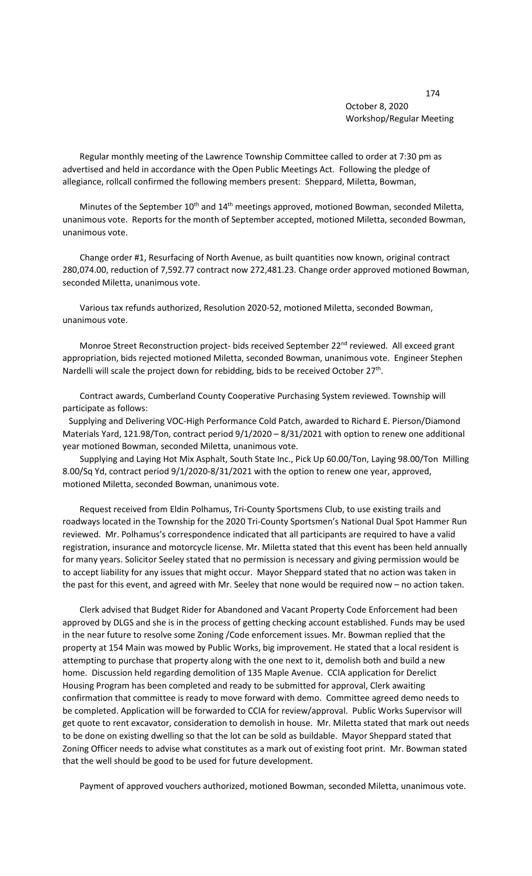174 October 8, 2020 Workshop/Regular Meeting

 Regular monthly meeting of the Lawrence Township Committee called to order at 7:30 pm as advertised and held in accordance with the Open Public Meetings Act. Following the pledge of allegiance, rollcall confirmed the following members present: Sheppard, Miletta, Bowman,

Minutes of the September  $10^{th}$  and  $14^{th}$  meetings approved, motioned Bowman, seconded Miletta, unanimous vote. Reports for the month of September accepted, motioned Miletta, seconded Bowman, unanimous vote.

 Change order #1, Resurfacing of North Avenue, as built quantities now known, original contract 280,074.00, reduction of 7,592.77 contract now 272,481.23. Change order approved motioned Bowman, seconded Miletta, unanimous vote.

 Various tax refunds authorized, Resolution 2020-52, motioned Miletta, seconded Bowman, unanimous vote.

Monroe Street Reconstruction project- bids received September 22<sup>nd</sup> reviewed. All exceed grant appropriation, bids rejected motioned Miletta, seconded Bowman, unanimous vote. Engineer Stephen Nardelli will scale the project down for rebidding, bids to be received October 27<sup>th</sup>.

 Contract awards, Cumberland County Cooperative Purchasing System reviewed. Township will participate as follows:

Supplying and Delivering VOC-High Performance Cold Patch, awarded to Richard E. Pierson/Diamond Materials Yard, 121.98/Ton, contract period 9/1/2020 – 8/31/2021 with option to renew one additional year motioned Bowman, seconded Miletta, unanimous vote.

 Supplying and Laying Hot Mix Asphalt, South State Inc., Pick Up 60.00/Ton, Laying 98.00/Ton Milling 8.00/Sq Yd, contract period 9/1/2020-8/31/2021 with the option to renew one year, approved, motioned Miletta, seconded Bowman, unanimous vote.

 Request received from Eldin Polhamus, Tri-County Sportsmens Club, to use existing trails and roadways located in the Township for the 2020 Tri-County Sportsmen's National Dual Spot Hammer Run reviewed. Mr. Polhamus's correspondence indicated that all participants are required to have a valid registration, insurance and motorcycle license. Mr. Miletta stated that this event has been held annually for many years. Solicitor Seeley stated that no permission is necessary and giving permission would be to accept liability for any issues that might occur. Mayor Sheppard stated that no action was taken in the past for this event, and agreed with Mr. Seeley that none would be required now – no action taken.

 Clerk advised that Budget Rider for Abandoned and Vacant Property Code Enforcement had been approved by DLGS and she is in the process of getting checking account established. Funds may be used in the near future to resolve some Zoning /Code enforcement issues. Mr. Bowman replied that the property at 154 Main was mowed by Public Works, big improvement. He stated that a local resident is attempting to purchase that property along with the one next to it, demolish both and build a new home. Discussion held regarding demolition of 135 Maple Avenue. CCIA application for Derelict Housing Program has been completed and ready to be submitted for approval, Clerk awaiting confirmation that committee is ready to move forward with demo. Committee agreed demo needs to be completed. Application will be forwarded to CCIA for review/approval. Public Works Supervisor will get quote to rent excavator, consideration to demolish in house. Mr. Miletta stated that mark out needs to be done on existing dwelling so that the lot can be sold as buildable. Mayor Sheppard stated that Zoning Officer needs to advise what constitutes as a mark out of existing foot print. Mr. Bowman stated that the well should be good to be used for future development.

Payment of approved vouchers authorized, motioned Bowman, seconded Miletta, unanimous vote.